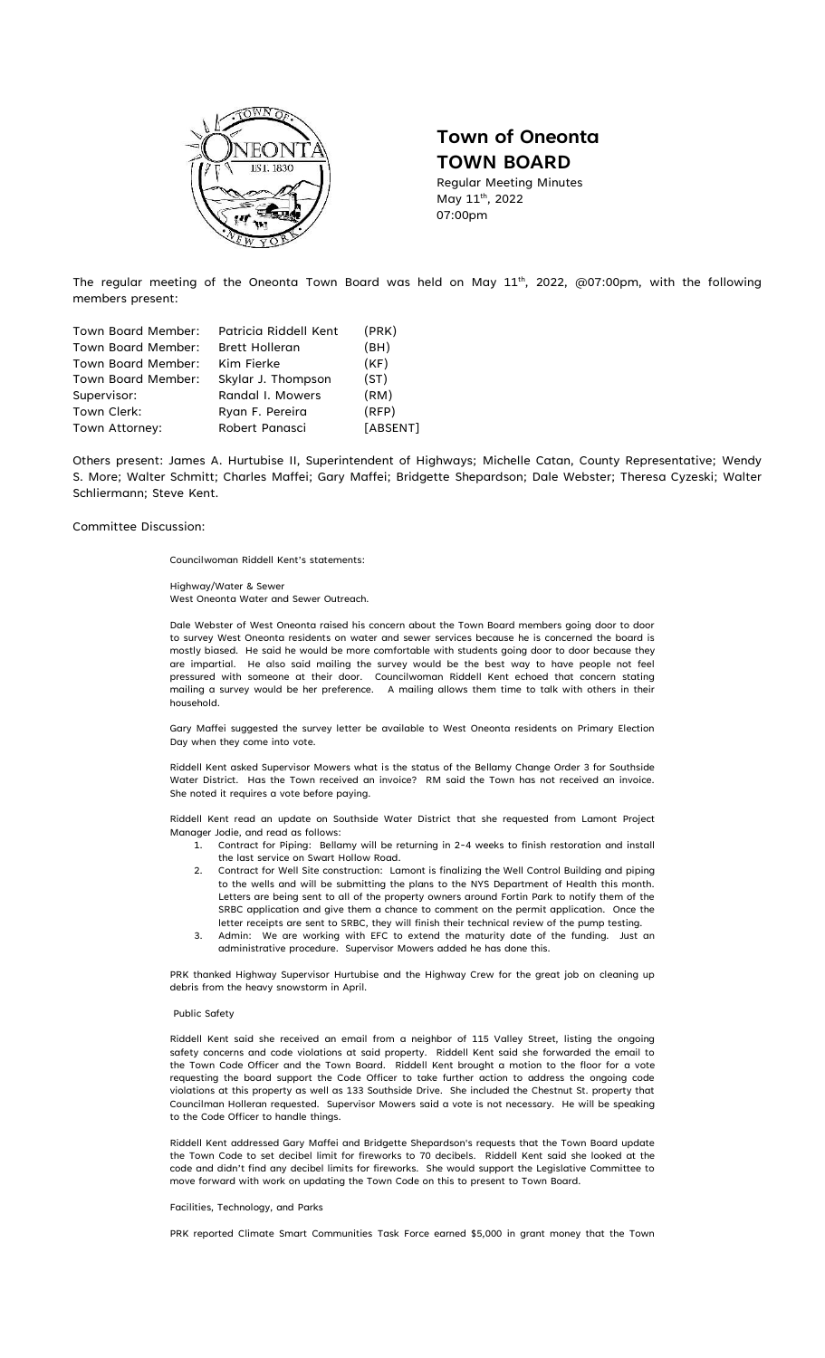

# **Town of Oneonta TOWN BOARD**

Regular Meeting Minutes May 11<sup>th</sup>, 2022 07:00pm

The regular meeting of the Oneonta Town Board was held on May  $11^{\text{th}}$ , 2022, @07:00pm, with the following members present:

| Patricia Riddell Kent | (PRK)    |
|-----------------------|----------|
| <b>Brett Holleran</b> | (BH)     |
| Kim Fierke            | (KF)     |
| Skylar J. Thompson    | (ST)     |
| Randal I. Mowers      | (RM)     |
| Ryan F. Pereira       | (RFP)    |
| Robert Panasci        | [ABSENT] |
|                       |          |

Others present: James A. Hurtubise II, Superintendent of Highways; Michelle Catan, County Representative; Wendy S. More; Walter Schmitt; Charles Maffei; Gary Maffei; Bridgette Shepardson; Dale Webster; Theresa Cyzeski; Walter Schliermann; Steve Kent.

## Committee Discussion:

Councilwoman Riddell Kent's statements:

# Highway/Water & Sewer

West Oneonta Water and Sewer Outreach.

Dale Webster of West Oneonta raised his concern about the Town Board members going door to door to survey West Oneonta residents on water and sewer services because he is concerned the board is mostly biased. He said he would be more comfortable with students going door to door because they are impartial. He also said mailing the survey would be the best way to have people not feel pressured with someone at their door. Councilwoman Riddell Kent echoed that concern stating mailing a survey would be her preference. A mailing allows them time to talk with others in their household.

Gary Maffei suggested the survey letter be available to West Oneonta residents on Primary Election Day when they come into vote.

Riddell Kent asked Supervisor Mowers what is the status of the Bellamy Change Order 3 for Southside Water District. Has the Town received an invoice? RM said the Town has not received an invoice. She noted it requires a vote before paying.

Riddell Kent read an update on Southside Water District that she requested from Lamont Project Manager Jodie, and read as follows:

- 1. Contract for Piping: Bellamy will be returning in 2-4 weeks to finish restoration and install the last service on Swart Hollow Road.
- 2. Contract for Well Site construction: Lamont is finalizing the Well Control Building and piping to the wells and will be submitting the plans to the NYS Department of Health this month. Letters are being sent to all of the property owners around Fortin Park to notify them of the SRBC application and give them a chance to comment on the permit application. Once the letter receipts are sent to SRBC, they will finish their technical review of the pump testing.
- 3. Admin: We are working with EFC to extend the maturity date of the funding. Just an administrative procedure. Supervisor Mowers added he has done this.

PRK thanked Highway Supervisor Hurtubise and the Highway Crew for the great job on cleaning up debris from the heavy snowstorm in April.

## Public Safety

Riddell Kent said she received an email from a neighbor of 115 Valley Street, listing the ongoing safety concerns and code violations at said property. Riddell Kent said she forwarded the email to the Town Code Officer and the Town Board. Riddell Kent brought a motion to the floor for a vote requesting the board support the Code Officer to take further action to address the ongoing code violations at this property as well as 133 Southside Drive. She included the Chestnut St. property that Councilman Holleran requested. Supervisor Mowers said a vote is not necessary. He will be speaking to the Code Officer to handle things.

Riddell Kent addressed Gary Maffei and Bridgette Shepardson's requests that the Town Board update the Town Code to set decibel limit for fireworks to 70 decibels. Riddell Kent said she looked at the code and didn't find any decibel limits for fireworks. She would support the Legislative Committee to move forward with work on updating the Town Code on this to present to Town Board.

## Facilities, Technology, and Parks

PRK reported Climate Smart Communities Task Force earned \$5,000 in grant money that the Town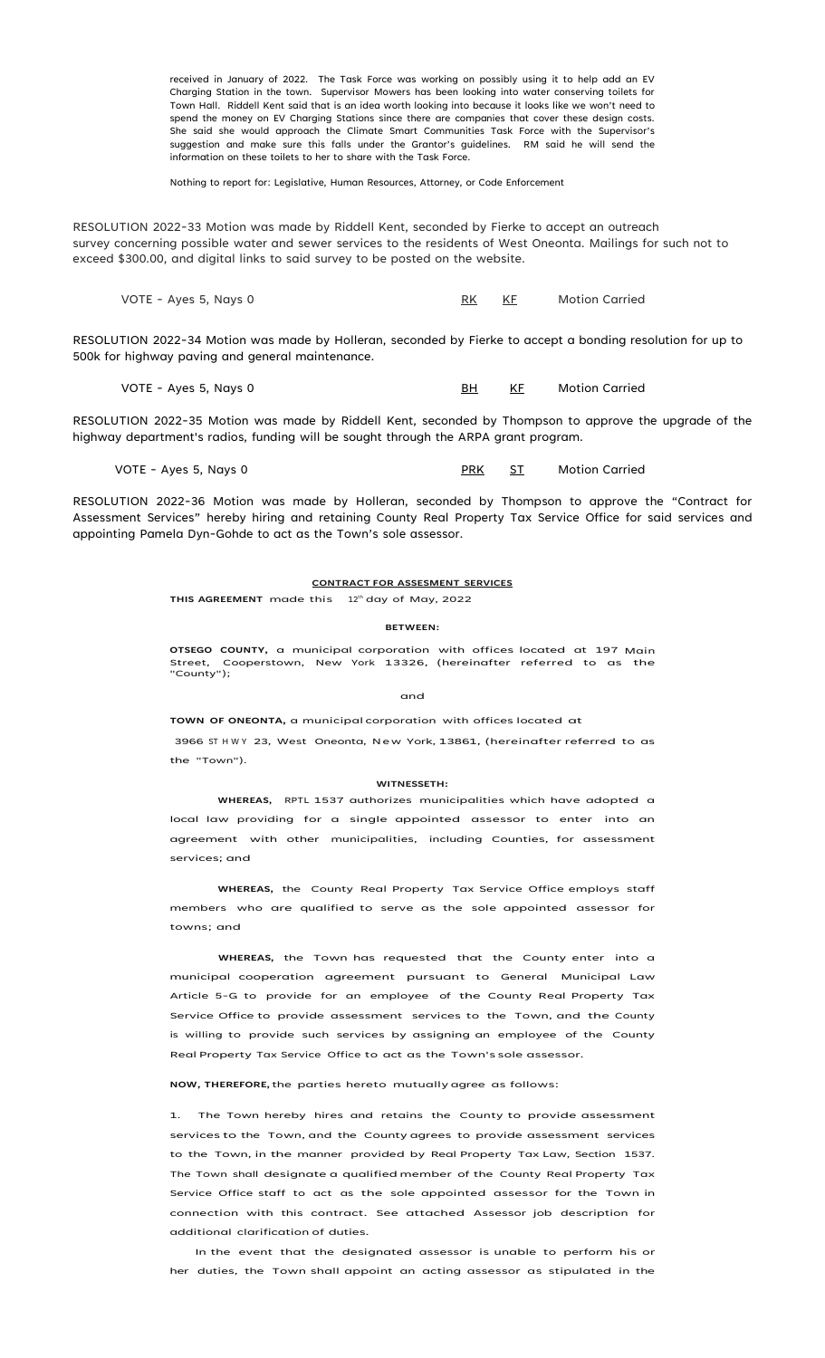received in January of 2022. The Task Force was working on possibly using it to help add an EV Charging Station in the town. Supervisor Mowers has been looking into water conserving toilets for Town Hall. Riddell Kent said that is an idea worth looking into because it looks like we won't need to spend the money on EV Charging Stations since there are companies that cover these design costs. She said she would approach the Climate Smart Communities Task Force with the Supervisor's suggestion and make sure this falls under the Grantor's guidelines. RM said he will send the information on these toilets to her to share with the Task Force.

Nothing to report for: Legislative, Human Resources, Attorney, or Code Enforcement

RESOLUTION 2022-33 Motion was made by Riddell Kent, seconded by Fierke to accept an outreach survey concerning possible water and sewer services to the residents of West Oneonta. Mailings for such not to exceed \$300.00, and digital links to said survey to be posted on the website.

| VOTE - Ayes 5, Nays 0 |  |  | <b>Motion Carried</b> |
|-----------------------|--|--|-----------------------|
|-----------------------|--|--|-----------------------|

RESOLUTION 2022-34 Motion was made by Holleran, seconded by Fierke to accept a bonding resolution for up to 500k for highway paving and general maintenance.

VOTE - Ayes 5, Nays 0 BH KF Motion Carried

RESOLUTION 2022-35 Motion was made by Riddell Kent, seconded by Thompson to approve the upgrade of the highway department's radios, funding will be sought through the ARPA grant program.

VOTE - Ayes 5, Nays 0 PRK ST Motion Carried

RESOLUTION 2022-36 Motion was made by Holleran, seconded by Thompson to approve the "Contract for Assessment Services" hereby hiring and retaining County Real Property Tax Service Office for said services and appointing Pamela Dyn-Gohde to act as the Town's sole assessor.

## **CONTRACT FOR ASSESMENT SERVICES**

**THIS AGREEMENT** made this 12th day of May, 2022

#### **BETWEEN:**

 **OTSEGO COUNTY,** a municipal corporation with offices located at 197 Main Street, Cooperstown, New York 13326, (hereinafter referred to as the Street, C<br>"County");

#### and

**TOWN OF ONEONTA,** a municipal corporation with offices located at

3966 ST HWY 23, West Oneonta, New York, 13861, (hereinafter referred to as the "Town").

#### **WITNESSETH:**

**WHEREAS,** RPTL 1537 authorizes municipalities which have adopted a local law providing for a single appointed assessor to enter into an agreement with other municipalities, including Counties, for assessment services; and

**WHEREAS,** the County Real Property Tax Service Office employs staff members who are qualified to serve as the sole appointed assessor for towns; and

**WHEREAS,** the Town has requested that the County enter into a municipal cooperation agreement pursuant to General Municipal Law Article 5-G to provide for an employee of the County Real Property Tax Service Office to provide assessment services to the Town, and the County is willing to provide such services by assigning an employee of the County Real Property Tax Service Office to act as the Town's sole assessor.

**NOW, THEREFORE,**the parties hereto mutually agree as follows:

1. The Town hereby hires and retains the County to provide assessment services to the Town, and the County agrees to provide assessment services to the Town, in the manner provided by Real Property Tax Law, Section 1537. The Town shall designate a qualified member of the County Real Property Tax Service Office staff to act as the sole appointed assessor for the Town in connection with this contract. See attached Assessor job description for additional clarification of duties.

In the event that the designated assessor is unable to perform his or her duties, the Town shall appoint an acting assessor as stipulated in the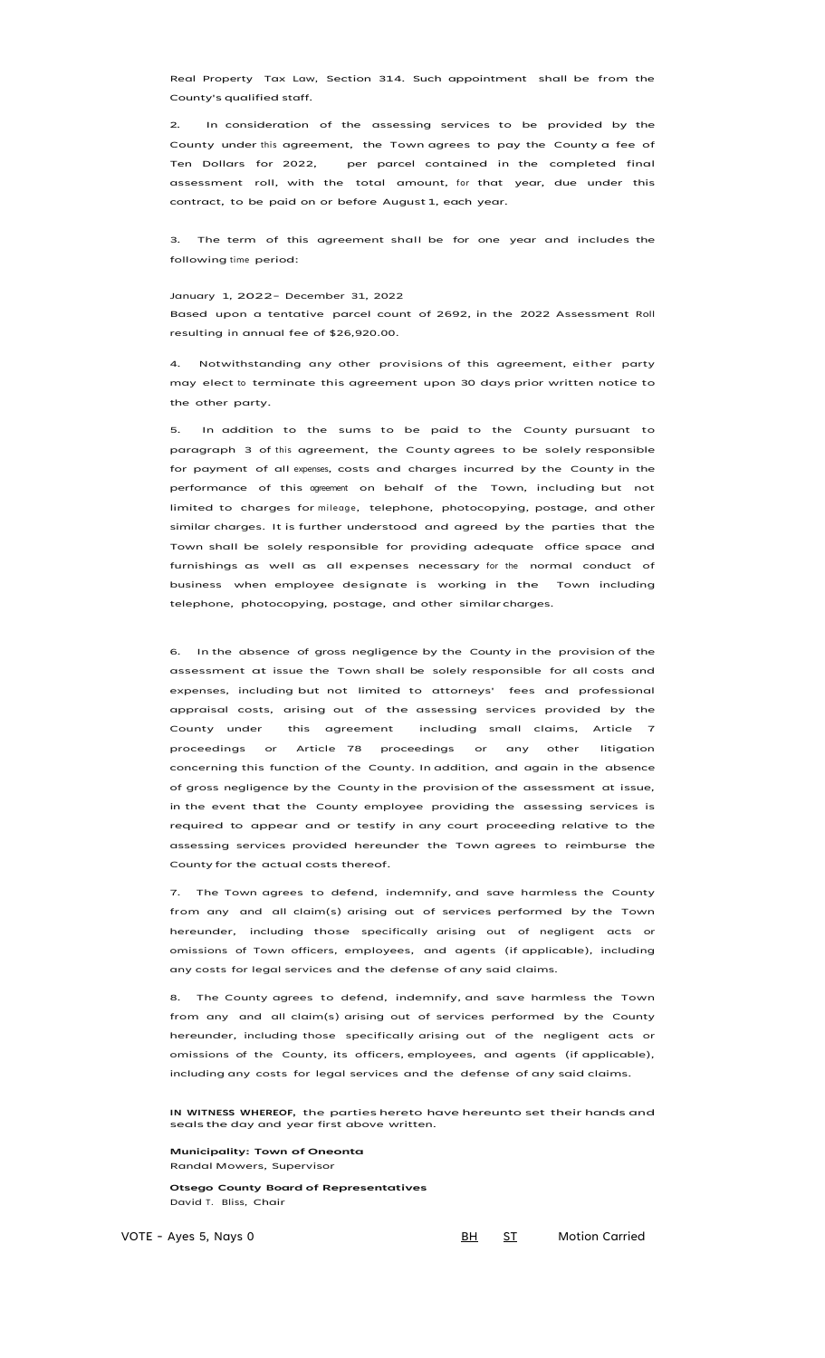Real Property Tax Law, Section 314. Such appointment shall be from the County's qualified staff.

2. In consideration of the assessing services to be provided by the County under this agreement, the Town agrees to pay the County a fee of Ten Dollars for 2022, per parcel contained in the completed final assessment roll, with the total amount, for that year, due under this contract, to be paid on or before August 1, each year.

3. The term of this agreement shall be for one year and includes the following time period:

January 1, 2022- December 31, 2022 Based upon a tentative parcel count of 2692, in the 2022 Assessment Roll resulting in annual fee of \$26,920.00.

4. Notwithstanding any other provisions of this agreement, either party may elect to terminate this agreement upon 30 days prior written notice to the other party.

In addition to the sums to be paid to the County pursuant to paragraph 3 of this agreement, the County agrees to be solely responsible for payment of all expenses, costs and charges incurred by the County in the performance of this agreement on behalf of the Town, including but not limited to charges for mileage, telephone, photocopying, postage, and other similar charges. It is further understood and agreed by the parties that the Town shall be solely responsible for providing adequate office space and furnishings as well as all expenses necessary for the normal conduct of business when employee designate is working in the Town including telephone, photocopying, postage, and other similar charges.

6. In the absence of gross negligence by the County in the provision of the assessment at issue the Town shall be solely responsible for all costs and expenses, including but not limited to attorneys' fees and professional appraisal costs, arising out of the assessing services provided by the County under this agreement including small claims, Article 7 proceedings or Article 78 proceedings or any other litigation concerning this function of the County. In addition, and again in the absence of gross negligence by the County in the provision of the assessment at issue, in the event that the County employee providing the assessing services is required to appear and or testify in any court proceeding relative to the assessing services provided hereunder the Town agrees to reimburse the County for the actual costs thereof.

7. The Town agrees to defend, indemnify, and save harmless the County from any and all claim(s) arising out of services performed by the Town hereunder, including those specifically arising out of negligent acts or omissions of Town officers, employees, and agents (if applicable), including any costs for legal services and the defense of any said claims.

8. The County agrees to defend, indemnify, and save harmless the Town from any and all claim(s) arising out of services performed by the County hereunder, including those specifically arising out of the negligent acts or omissions of the County, its officers, employees, and agents (if applicable), including any costs for legal services and the defense of any said claims.

**IN WITNESS WHEREOF,** the parties hereto have hereunto set their hands and seals the day and year first above written.

**Municipality: Town of Oneonta** Randal Mowers, Supervisor

**Otsego County Board of Representatives**  David T. Bliss, Chair

VOTE - Ayes 5, Nays 0 and 1990 States of the Motion Carried Carried Carried Carried Carried Carried Carried Carried Carried Carried Carried Carried Carried Carried Carried Carried Carried Carried Carried Carried Carried Ca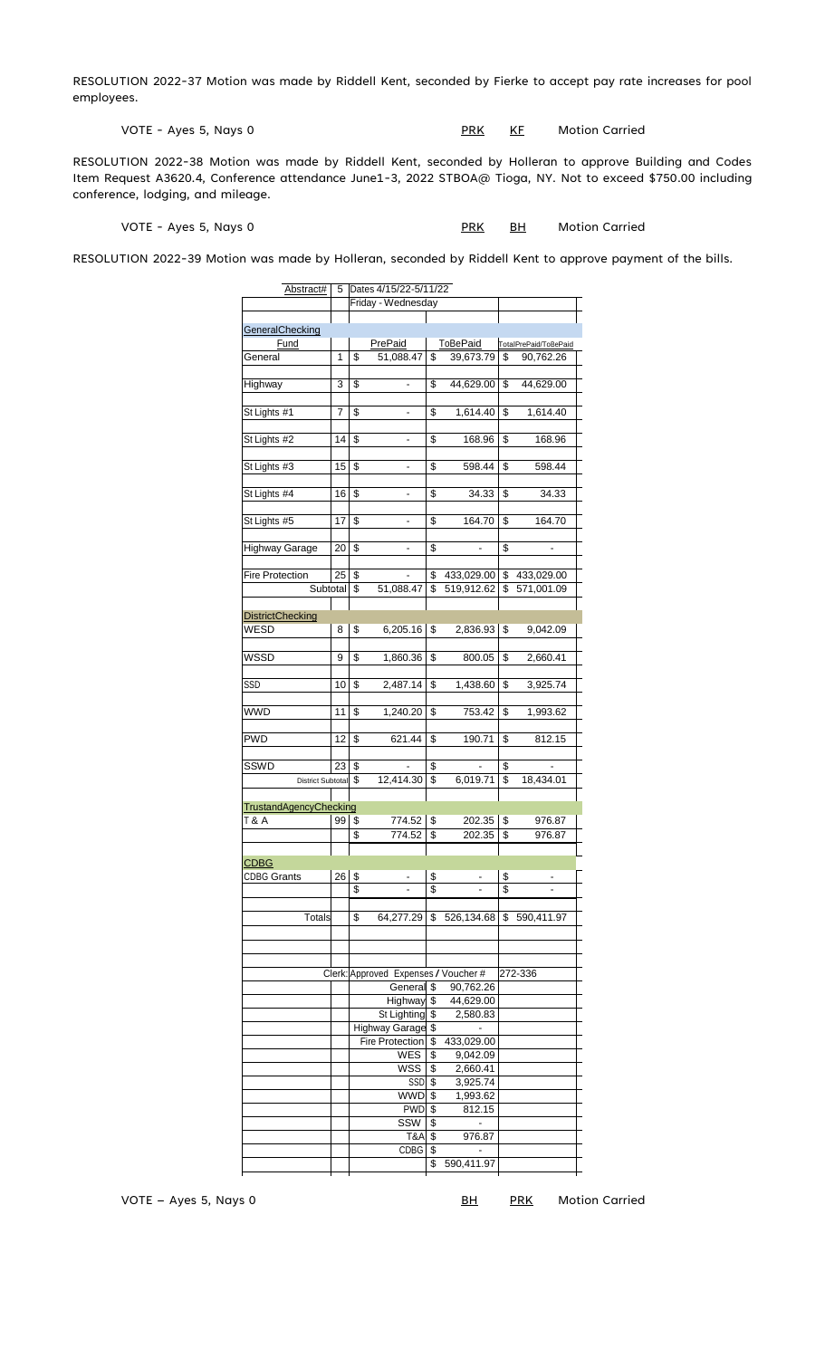RESOLUTION 2022-37 Motion was made by Riddell Kent, seconded by Fierke to accept pay rate increases for pool employees.

VOTE - Ayes 5, Nays 0 PRK RF Motion Carried

RESOLUTION 2022-38 Motion was made by Riddell Kent, seconded by Holleran to approve Building and Codes Item Request A3620.4, Conference attendance June1-3, 2022 STBOA@ Tioga, NY. Not to exceed \$750.00 including conference, lodging, and mileage.

VOTE - Ayes 5, Nays 0 PRK BH Motion Carried

RESOLUTION 2022-39 Motion was made by Holleran, seconded by Riddell Kent to approve payment of the bills.

| Abstract#                     | 5  |    | Dates 4/15/22-5/11/22                |    |                          |    |                       |
|-------------------------------|----|----|--------------------------------------|----|--------------------------|----|-----------------------|
|                               |    |    | Friday - Wednesday                   |    |                          |    |                       |
|                               |    |    |                                      |    |                          |    |                       |
| GeneralChecking               |    |    |                                      |    |                          |    |                       |
| Fund                          |    |    | PrePaid                              |    | <b>ToBePaid</b>          |    | TotalPrePaid/ToBePaid |
| General                       | 1  | \$ | 51,088.47                            | \$ | 39,673.79                | \$ | 90,762.26             |
|                               |    |    |                                      |    |                          |    |                       |
| Highway                       | 3  | \$ | $\qquad \qquad \blacksquare$         | \$ | 44,629.00                | \$ | 44,629.00             |
|                               |    |    |                                      |    |                          |    |                       |
| St Lights #1                  | 7  | \$ |                                      | \$ | 1,614.40                 | \$ | 1,614.40              |
|                               |    |    |                                      |    |                          |    |                       |
|                               |    |    |                                      |    |                          |    |                       |
| St Lights #2                  | 14 | \$ | -                                    | \$ | 168.96                   | \$ | 168.96                |
|                               |    |    |                                      |    |                          |    |                       |
| St Lights #3                  | 15 | \$ | -                                    | \$ | 598.44                   | \$ | 598.44                |
|                               |    |    |                                      |    |                          |    |                       |
| St Lights #4                  | 16 | \$ |                                      | \$ | 34.33                    | \$ | 34.33                 |
|                               |    |    |                                      |    |                          |    |                       |
| St Lights #5                  | 17 | \$ |                                      | \$ | 164.70                   | \$ | 164.70                |
|                               |    |    |                                      |    |                          |    |                       |
| <b>Highway Garage</b>         | 20 | \$ |                                      | \$ |                          | \$ |                       |
|                               |    |    |                                      |    |                          |    |                       |
| <b>Fire Protection</b>        | 25 | \$ |                                      | \$ |                          |    |                       |
|                               |    |    |                                      |    | 433,029.00               | \$ | 433,029.00            |
| Subtotal                      |    | \$ | 51,088.47                            | \$ | 519,912.62               | \$ | 571,001.09            |
|                               |    |    |                                      |    |                          |    |                       |
| <b>DistrictChecking</b>       |    |    |                                      |    |                          |    |                       |
| WESD                          | 8  | \$ | 6,205.16                             | \$ | 2,836.93                 | \$ | 9,042.09              |
|                               |    |    |                                      |    |                          |    |                       |
| WSSD                          | 9  | \$ | 1,860.36                             | \$ | 800.05                   | \$ | 2,660.41              |
|                               |    |    |                                      |    |                          |    |                       |
| SSD                           | 10 | \$ |                                      | \$ |                          |    |                       |
|                               |    |    | 2,487.14                             |    | 1,438.60                 | \$ | 3,925.74              |
|                               |    |    |                                      |    |                          |    |                       |
| WWD                           | 11 | \$ | 1,240.20                             | \$ | 753.42                   | \$ | 1,993.62              |
|                               |    |    |                                      |    |                          |    |                       |
| PWD                           | 12 | \$ | 621.44                               | \$ | 190.71                   | \$ | 812.15                |
|                               |    |    |                                      |    |                          |    |                       |
| SSWD                          | 23 | \$ |                                      | \$ |                          | \$ |                       |
| <b>District Subtotal</b>      |    | \$ | 12,414.30                            | \$ | 6,019.71                 | \$ | 18,434.01             |
|                               |    |    |                                      |    |                          |    |                       |
| <b>TrustandAgencyChecking</b> |    |    |                                      |    |                          |    |                       |
| T & A                         | 99 | \$ | 774.52                               | \$ | 202.35                   | \$ |                       |
|                               |    |    |                                      |    |                          |    | 976.87                |
|                               |    | \$ | 774.52                               | \$ | 202.35                   | \$ | 976.87                |
|                               |    |    |                                      |    |                          |    |                       |
| CDBG                          |    |    |                                      |    |                          |    |                       |
| <b>CDBG Grants</b>            | 26 | \$ |                                      | \$ | -                        | \$ |                       |
|                               |    | \$ |                                      | \$ |                          | \$ |                       |
|                               |    |    |                                      |    |                          |    |                       |
| <b>Totals</b>                 |    | \$ | 64,277.29                            | \$ | 526,134.68               | \$ | 590,411.97            |
|                               |    |    |                                      |    |                          |    |                       |
|                               |    |    |                                      |    |                          |    |                       |
|                               |    |    |                                      |    |                          |    |                       |
|                               |    |    |                                      |    |                          |    |                       |
|                               |    |    | Clerk: Approved Expenses / Voucher # |    |                          |    | 272-336               |
|                               |    |    | General \$                           |    | 90,762.26                |    |                       |
|                               |    |    | Highway \$                           |    | 44,629.00                |    |                       |
|                               |    |    | St Lighting \$                       |    | 2,580.83                 |    |                       |
|                               |    |    | Highway Garage \$                    |    | $\blacksquare$           |    |                       |
|                               |    |    | Fire Protection                      | \$ | 433,029.00               |    |                       |
|                               |    |    | WES                                  | \$ | 9,042.09                 |    |                       |
|                               |    |    |                                      |    |                          |    |                       |
|                               |    |    | WSS                                  | \$ | 2,660.41                 |    |                       |
|                               |    |    | SSD \$                               |    | 3,925.74                 |    |                       |
|                               |    |    | <b>WWD</b>                           | \$ | 1,993.62                 |    |                       |
|                               |    |    | <b>PWD</b>                           | \$ | 812.15                   |    |                       |
|                               |    |    | SSW                                  | \$ |                          |    |                       |
|                               |    |    | T&A \$                               |    | 976.87                   |    |                       |
|                               |    |    | <b>CDBG</b>                          | \$ | $\overline{\phantom{a}}$ |    |                       |
|                               |    |    |                                      | \$ | 590,411.97               |    |                       |
|                               |    |    |                                      |    |                          |    |                       |

VOTE – Ayes 5, Nays 0 BH PRK Motion Carried